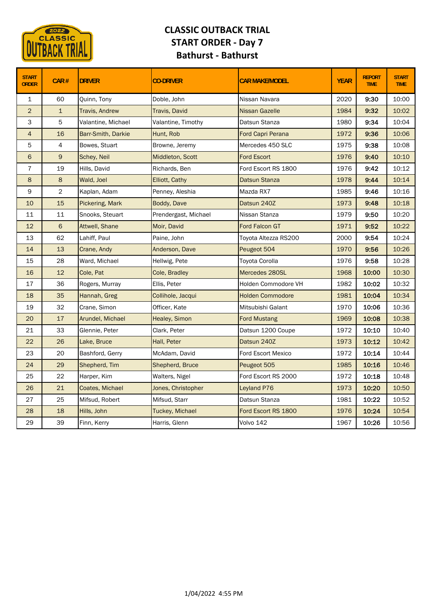

## **CLASSIC OUTBACK TRIAL START ORDER ‐ Day 7 Bathurst ‐ Bathurst**

| <b>START</b><br><b>ORDER</b> | $CAR$ #        | <b>DRIVER</b>         | <b>CO-DRIVER</b>       | <b>CAR MAKE/MODEL</b>    | <b>YEAR</b> | <b>REPORT</b><br><b>TIME</b> | <b>START</b><br><b>TIME</b> |
|------------------------------|----------------|-----------------------|------------------------|--------------------------|-------------|------------------------------|-----------------------------|
| 1                            | 60             | Quinn, Tony           | Doble, John            | Nissan Navara            | 2020        | 9:30                         | 10:00                       |
| 2                            | $\mathbf{1}$   | <b>Travis, Andrew</b> | <b>Travis, David</b>   | Nissan Gazelle           | 1984        | 9:32                         | 10:02                       |
| 3                            | 5              | Valantine, Michael    | Valantine, Timothy     | Datsun Stanza            | 1980        | 9:34                         | 10:04                       |
| $\overline{4}$               | 16             | Barr-Smith, Darkie    | Hunt, Rob              | <b>Ford Capri Perana</b> | 1972        | 9:36                         | 10:06                       |
| 5                            | 4              | Bowes, Stuart         | Browne, Jeremy         | Mercedes 450 SLC         | 1975        | 9:38                         | 10:08                       |
| 6                            | 9              | Schey, Neil           | Middleton, Scott       | <b>Ford Escort</b>       | 1976        | 9:40                         | 10:10                       |
| $\overline{7}$               | 19             | Hills, David          | Richards, Ben          | Ford Escort RS 1800      | 1976        | 9:42                         | 10:12                       |
| $\bf 8$                      | 8              | Wald, Joel            | Elliott, Cathy         | <b>Datsun Stanza</b>     | 1978        | 9:44                         | 10:14                       |
| 9                            | $\overline{2}$ | Kaplan, Adam          | Penney, Aleshia        | Mazda RX7                | 1985        | 9:46                         | 10:16                       |
| 10                           | 15             | Pickering, Mark       | Boddy, Dave            | Datsun 240Z              | 1973        | 9:48                         | 10:18                       |
| 11                           | 11             | Snooks, Steuart       | Prendergast, Michael   | Nissan Stanza            | 1979        | 9:50                         | 10:20                       |
| 12                           | 6              | Attwell, Shane        | Moir, David            | Ford Falcon GT           | 1971        | 9:52                         | 10:22                       |
| 13                           | 62             | Lahiff, Paul          | Paine, John            | Toyota Altezza RS200     | 2000        | 9:54                         | 10:24                       |
| 14                           | 13             | Crane, Andy           | Anderson, Dave         | Peugeot 504              | 1970        | 9:56                         | 10:26                       |
| 15                           | 28             | Ward, Michael         | Hellwig, Pete          | Toyota Corolla           | 1976        | 9:58                         | 10:28                       |
| 16                           | 12             | Cole, Pat             | Cole, Bradley          | Mercedes 280SL           | 1968        | 10:00                        | 10:30                       |
| 17                           | 36             | Rogers, Murray        | Ellis, Peter           | Holden Commodore VH      | 1982        | 10:02                        | 10:32                       |
| 18                           | 35             | Hannah, Greg          | Collihole, Jacqui      | <b>Holden Commodore</b>  | 1981        | 10:04                        | 10:34                       |
| 19                           | 32             | Crane, Simon          | Officer, Kate          | Mitsubishi Galant        | 1970        | 10:06                        | 10:36                       |
| 20                           | 17             | Arundel, Michael      | Healey, Simon          | <b>Ford Mustang</b>      | 1969        | 10:08                        | 10:38                       |
| 21                           | 33             | Glennie, Peter        | Clark, Peter           | Datsun 1200 Coupe        | 1972        | 10:10                        | 10:40                       |
| 22                           | 26             | Lake, Bruce           | Hall, Peter            | Datsun 240Z              | 1973        | 10:12                        | 10:42                       |
| 23                           | 20             | Bashford, Gerry       | McAdam, David          | Ford Escort Mexico       | 1972        | 10:14                        | 10:44                       |
| 24                           | 29             | Shepherd, Tim         | Shepherd, Bruce        | Peugeot 505              | 1985        | 10:16                        | 10:46                       |
| 25                           | 22             | Harper, Kim           | Walters, Nigel         | Ford Escort RS 2000      | 1972        | 10:18                        | 10:48                       |
| 26                           | 21             | Coates, Michael       | Jones, Christopher     | Leyland P76              | 1973        | 10:20                        | 10:50                       |
| 27                           | 25             | Mifsud, Robert        | Mifsud, Starr          | Datsun Stanza            | 1981        | 10:22                        | 10:52                       |
| 28                           | 18             | Hills, John           | <b>Tuckey, Michael</b> | Ford Escort RS 1800      | 1976        | 10:24                        | 10:54                       |
| 29                           | 39             | Finn, Kerry           | Harris, Glenn          | Volvo 142                | 1967        | 10:26                        | 10:56                       |